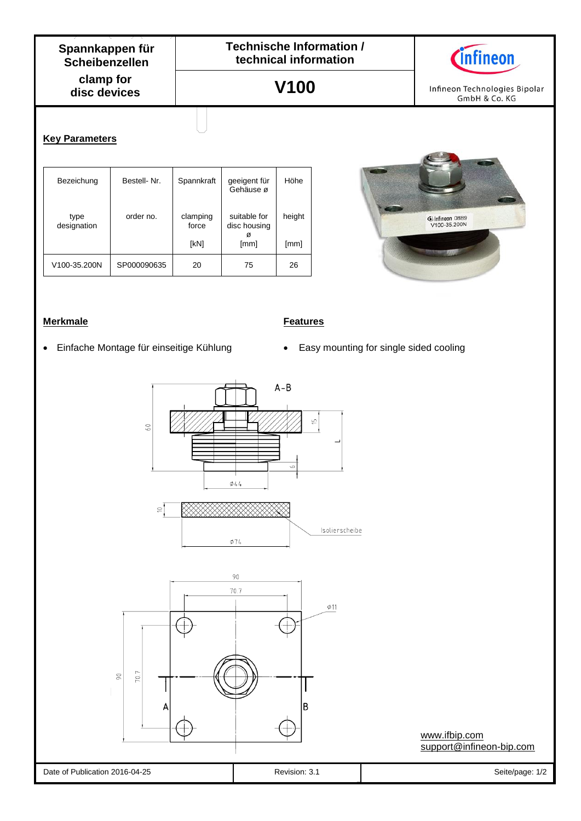**V100**



Infineon Technologies Bipolar GmbH & Co. KG

**C**) Infineon 08B9<br>V100-35.200N

### **Key Parameters**

| Bezeichung          | Bestell-Nr. | Spannkraft        | geeigent für<br>Gehäuse ø    | Höhe   |
|---------------------|-------------|-------------------|------------------------------|--------|
| type<br>designation | order no.   | clamping<br>force | suitable for<br>disc housing | height |
|                     |             | [kN]              | [mm]                         | [mm]   |
| V100-35.200N        | SP000090635 | 20                | 75                           | 26     |

## **Merkmale Features**

- 
- Einfache Montage für einseitige Kühlung \* e Easy mounting for single sided cooling



[www.ifbip.com](http://www.ifbip.com/) [support@infineon-bip.com](mailto:support@infineon-bip.com)

#### Date of Publication 2016-04-25 Revision: 3.1 Revision: 3.1 Seite/page: 1/2